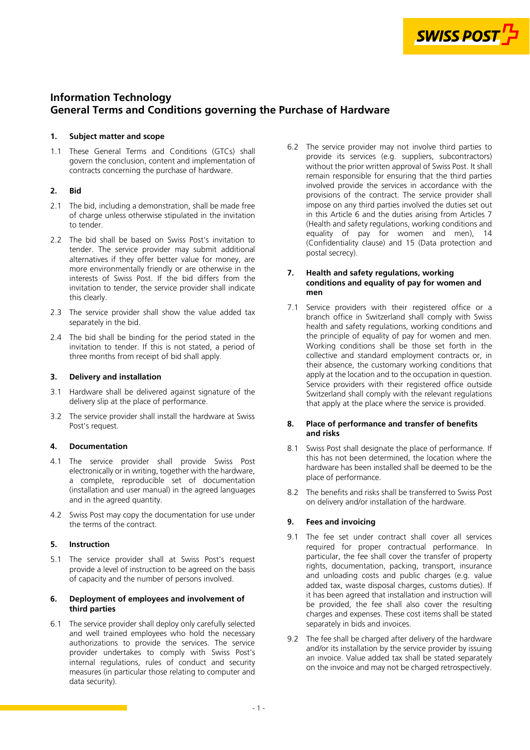

# **Information Technology General Terms and Conditions governing the Purchase of Hardware**

# **1. Subject matter and scope**

1.1 These General Terms and Conditions (GTCs) shall govern the conclusion, content and implementation of contracts concerning the purchase of hardware.

# **2. Bid**

- 2.1 The bid, including a demonstration, shall be made free of charge unless otherwise stipulated in the invitation to tender.
- 2.2 The bid shall be based on Swiss Post's invitation to tender. The service provider may submit additional alternatives if they offer better value for money, are more environmentally friendly or are otherwise in the interests of Swiss Post. If the bid differs from the invitation to tender, the service provider shall indicate this clearly.
- 2.3 The service provider shall show the value added tax separately in the bid.
- 2.4 The bid shall be binding for the period stated in the invitation to tender. If this is not stated, a period of three months from receipt of bid shall apply.

# **3. Delivery and installation**

- 3.1 Hardware shall be delivered against signature of the delivery slip at the place of performance.
- 3.2 The service provider shall install the hardware at Swiss Post's request.

# **4. Documentation**

- 4.1 The service provider shall provide Swiss Post electronically or in writing, together with the hardware, a complete, reproducible set of documentation (installation and user manual) in the agreed languages and in the agreed quantity.
- 4.2 Swiss Post may copy the documentation for use under the terms of the contract.

# **5. Instruction**

5.1 The service provider shall at Swiss Post's request provide a level of instruction to be agreed on the basis of capacity and the number of persons involved.

# **6. Deployment of employees and involvement of third parties**

6.1 The service provider shall deploy only carefully selected and well trained employees who hold the necessary authorizations to provide the services. The service provider undertakes to comply with Swiss Post's internal regulations, rules of conduct and security measures (in particular those relating to computer and data security).

6.2 The service provider may not involve third parties to provide its services (e.g. suppliers, subcontractors) without the prior written approval of Swiss Post. It shall remain responsible for ensuring that the third parties involved provide the services in accordance with the provisions of the contract. The service provider shall impose on any third parties involved the duties set out in this Article 6 and the duties arising from Articles 7 (Health and safety regulations, working conditions and equality of pay for women and men), 14 [\(Confidentiality clause\) and 15 \(Data protection and](#page-2-0)  postal secrecy).

# **7. Health and safety regulations, working conditions and equality of pay for women and men**

7.1 Service providers with their registered office or a branch office in Switzerland shall comply with Swiss health and safety regulations, working conditions and the principle of equality of pay for women and men. Working conditions shall be those set forth in the collective and standard employment contracts or, in their absence, the customary working conditions that apply at the location and to the occupation in question. Service providers with their registered office outside Switzerland shall comply with the relevant regulations that apply at the place where the service is provided.

## **8. Place of performance and transfer of benefits and risks**

- 8.1 Swiss Post shall designate the place of performance. If this has not been determined, the location where the hardware has been installed shall be deemed to be the place of performance.
- 8.2 The benefits and risks shall be transferred to Swiss Post on delivery and/or installation of the hardware.

# **9. Fees and invoicing**

- 9.1 The fee set under contract shall cover all services required for proper contractual performance. In particular, the fee shall cover the transfer of property rights, documentation, packing, transport, insurance and unloading costs and public charges (e.g. value added tax, waste disposal charges, customs duties). If it has been agreed that installation and instruction will be provided, the fee shall also cover the resulting charges and expenses. These cost items shall be stated separately in bids and invoices.
- 9.2 The fee shall be charged after delivery of the hardware and/or its installation by the service provider by issuing an invoice. Value added tax shall be stated separately on the invoice and may not be charged retrospectively.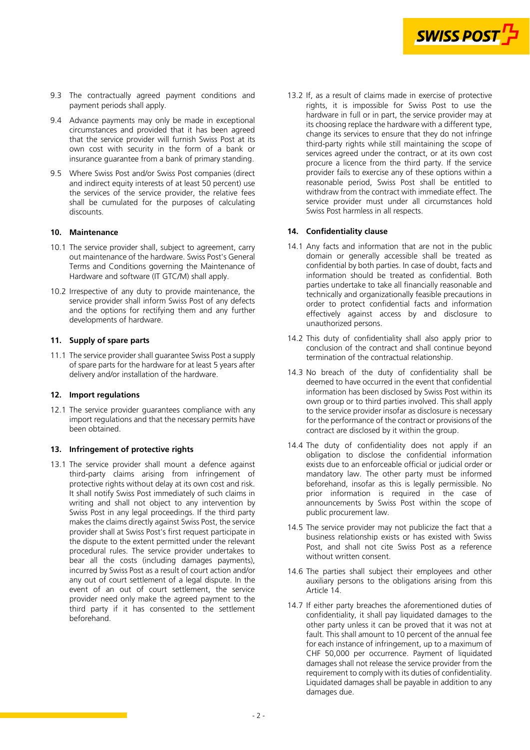

- <span id="page-1-0"></span>9.3 The contractually agreed payment conditions and payment periods shall apply.
- 9.4 Advance payments may only be made in exceptional circumstances and provided that it has been agreed that the service provider will furnish Swiss Post at its own cost with security in the form of a bank or insurance guarantee from a bank of primary standing.
- 9.5 Where Swiss Post and/or Swiss Post companies (direct and indirect equity interests of at least 50 percent) use the services of the service provider, the relative fees shall be cumulated for the purposes of calculating discounts.

#### **10. Maintenance**

- 10.1 The service provider shall, subject to agreement, carry out maintenance of the hardware. Swiss Post's General Terms and Conditions governing the Maintenance of Hardware and software (IT GTC/M) shall apply.
- 10.2 Irrespective of any duty to provide maintenance, the service provider shall inform Swiss Post of any defects and the options for rectifying them and any further developments of hardware.

## **11. Supply of spare parts**

11.1 The service provider shall guarantee Swiss Post a supply of spare parts for the hardware for at least 5 years after delivery and/or installation of the hardware.

## **12. Import regulations**

12.1 The service provider guarantees compliance with any import regulations and that the necessary permits have been obtained.

#### **13. Infringement of protective rights**

13.1 The service provider shall mount a defence against third-party claims arising from infringement of protective rights without delay at its own cost and risk. It shall notify Swiss Post immediately of such claims in writing and shall not object to any intervention by Swiss Post in any legal proceedings. If the third party makes the claims directly against Swiss Post, the service provider shall at Swiss Post's first request participate in the dispute to the extent permitted under the relevant procedural rules. The service provider undertakes to bear all the costs (including damages payments), incurred by Swiss Post as a result of court action and/or any out of court settlement of a legal dispute. In the event of an out of court settlement, the service provider need only make the agreed payment to the third party if it has consented to the settlement beforehand.

13.2 If, as a result of claims made in exercise of protective rights, it is impossible for Swiss Post to use the hardware in full or in part, the service provider may at its choosing replace the hardware with a different type, change its services to ensure that they do not infringe third-party rights while still maintaining the scope of services agreed under the contract, or at its own cost procure a licence from the third party. If the service provider fails to exercise any of these options within a reasonable period, Swiss Post shall be entitled to withdraw from the contract with immediate effect. The service provider must under all circumstances hold Swiss Post harmless in all respects.

#### **14. Confidentiality clause**

- 14.1 Any facts and information that are not in the public domain or generally accessible shall be treated as confidential by both parties. In case of doubt, facts and information should be treated as confidential. Both parties undertake to take all financially reasonable and technically and organizationally feasible precautions in order to protect confidential facts and information effectively against access by and disclosure to unauthorized persons.
- 14.2 This duty of confidentiality shall also apply prior to conclusion of the contract and shall continue beyond termination of the contractual relationship.
- 14.3 No breach of the duty of confidentiality shall be deemed to have occurred in the event that confidential information has been disclosed by Swiss Post within its own group or to third parties involved. This shall apply to the service provider insofar as disclosure is necessary for the performance of the contract or provisions of the contract are disclosed by it within the group.
- 14.4 The duty of confidentiality does not apply if an obligation to disclose the confidential information exists due to an enforceable official or judicial order or mandatory law. The other party must be informed beforehand, insofar as this is legally permissible. No prior information is required in the case of announcements by Swiss Post within the scope of public procurement law.
- 14.5 The service provider may not publicize the fact that a business relationship exists or has existed with Swiss Post, and shall not cite Swiss Post as a reference without written consent.
- 14.6 The parties shall subject their employees and other auxiliary persons to the obligations arising from this Article 14.
- 14.7 If either party breaches the aforementioned duties of confidentiality, it shall pay liquidated damages to the other party unless it can be proved that it was not at fault. This shall amount to 10 percent of the annual fee for each instance of infringement, up to a maximum of CHF 50,000 per occurrence. Payment of liquidated damages shall not release the service provider from the requirement to comply with its duties of confidentiality. Liquidated damages shall be payable in addition to any damages due.